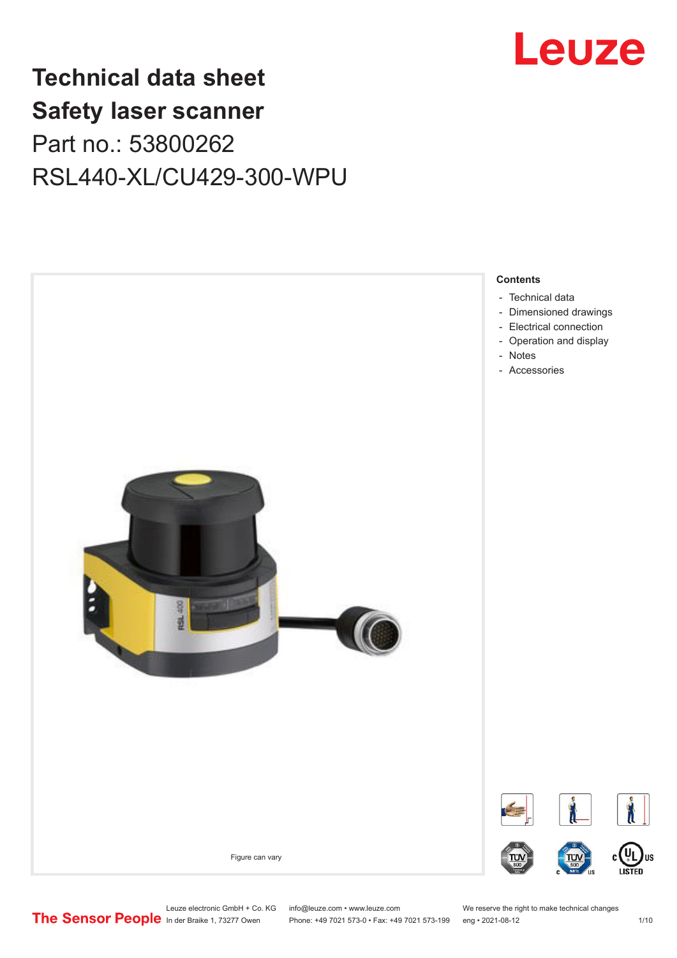

## **Technical data sheet Safety laser scanner** Part no.: 53800262 RSL440-XL/CU429-300-WPU



Leuze electronic GmbH + Co. KG info@leuze.com • www.leuze.com We reserve the right to make technical changes<br>
The Sensor People in der Braike 1, 73277 Owen Phone: +49 7021 573-0 • Fax: +49 7021 573-199 eng • 2021-08-12

Phone: +49 7021 573-0 • Fax: +49 7021 573-199 eng • 2021-08-12 1 /10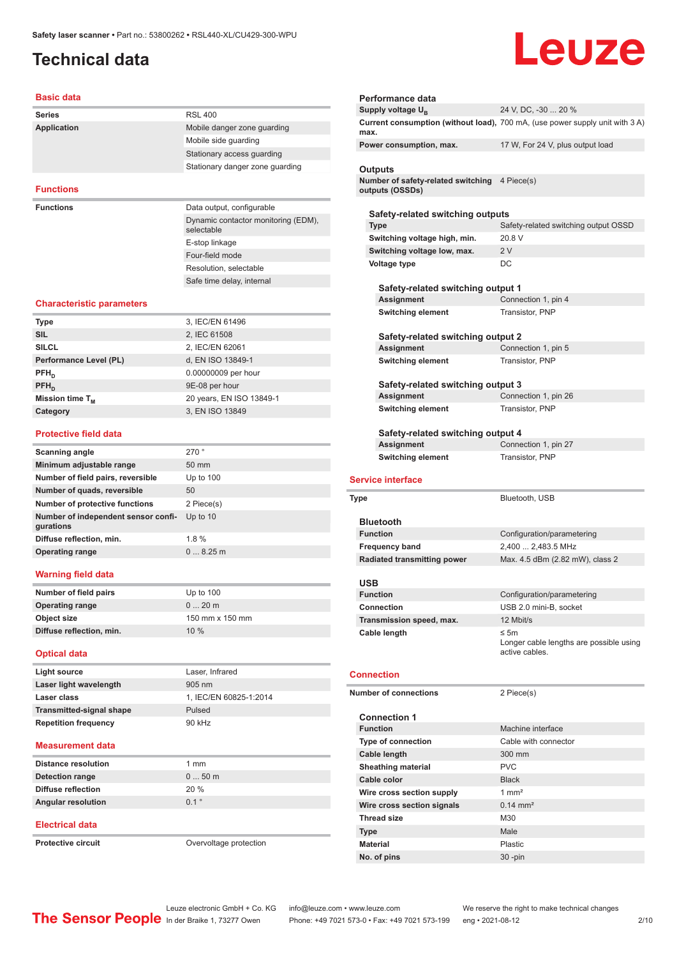### <span id="page-1-0"></span>**Technical data**

# Leuze

#### **Basic data**

| <b>Series</b>      | <b>RSL 400</b>                                    |
|--------------------|---------------------------------------------------|
| <b>Application</b> | Mobile danger zone quarding                       |
|                    | Mobile side quarding                              |
|                    | Stationary access quarding                        |
|                    | Stationary danger zone quarding                   |
|                    |                                                   |
| <b>Functions</b>   |                                                   |
| <b>Functions</b>   | Data output, configurable                         |
|                    | Dynamic contactor monitoring (EDM),<br>selectable |
|                    |                                                   |
|                    | E-stop linkage                                    |
|                    | Four-field mode                                   |

Resolution, selectable Safe time delay, internal

#### **Characteristic parameters**

| <b>Type</b>            | 3, IEC/EN 61496          |
|------------------------|--------------------------|
| <b>SIL</b>             | 2, IEC 61508             |
| <b>SILCL</b>           | 2, IEC/EN 62061          |
| Performance Level (PL) | d, EN ISO 13849-1        |
| $PFH_{n}$              | 0.00000009 per hour      |
| $PFH_n$                | 9E-08 per hour           |
| Mission time $T_{M}$   | 20 years, EN ISO 13849-1 |
| Category               | 3, EN ISO 13849          |
|                        |                          |

#### **Protective field data**

| Scanning angle                                   | 270°            |
|--------------------------------------------------|-----------------|
| Minimum adjustable range                         | $50 \text{ mm}$ |
| Number of field pairs, reversible                | Up to $100$     |
| Number of quads, reversible                      | 50              |
| <b>Number of protective functions</b>            | 2 Piece(s)      |
| Number of independent sensor confi-<br>gurations | Up to $10$      |
| Diffuse reflection, min.                         | $1.8 \%$        |
| <b>Operating range</b>                           | 08.25m          |
|                                                  |                 |

#### **Warning field data**

| Number of field pairs    | Up to $100$     |
|--------------------------|-----------------|
| <b>Operating range</b>   | $020$ m         |
| Object size              | 150 mm x 150 mm |
| Diffuse reflection, min. | 10%             |

#### **Optical data**

| Light source                    | Laser, Infrared        |
|---------------------------------|------------------------|
| Laser light wavelength          | 905 nm                 |
| Laser class                     | 1, IEC/EN 60825-1:2014 |
| <b>Transmitted-signal shape</b> | Pulsed                 |
| <b>Repetition frequency</b>     | 90 kHz                 |
|                                 |                        |

#### **Measurement data**

| <b>Distance resolution</b> | 1 mm    |
|----------------------------|---------|
| <b>Detection range</b>     | $050$ m |
| Diffuse reflection         | 20%     |
| <b>Angular resolution</b>  | 01°     |
|                            |         |

#### **Electrical data**

**Protective circuit COVER 1999** Overvoltage protection

| Performance data                                                 |                                                                              |
|------------------------------------------------------------------|------------------------------------------------------------------------------|
| Supply voltage U <sub>B</sub>                                    | 24 V, DC, -30  20 %                                                          |
| max.                                                             | Current consumption (without load), 700 mA, (use power supply unit with 3 A) |
| Power consumption, max.                                          | 17 W, For 24 V, plus output load                                             |
|                                                                  |                                                                              |
| Outputs                                                          |                                                                              |
| Number of safety-related switching 4 Piece(s)<br>outputs (OSSDs) |                                                                              |
|                                                                  |                                                                              |
| Safety-related switching outputs                                 |                                                                              |
| <b>Type</b>                                                      | Safety-related switching output OSSD                                         |
| Switching voltage high, min.                                     | 20.8 V                                                                       |
| Switching voltage low, max.                                      | 2V                                                                           |
| Voltage type                                                     | DC                                                                           |
|                                                                  |                                                                              |
| Safety-related switching output 1<br><b>Assignment</b>           | Connection 1, pin 4                                                          |
| Switching element                                                | Transistor, PNP                                                              |
|                                                                  |                                                                              |
| Safety-related switching output 2                                |                                                                              |
| Assignment                                                       | Connection 1, pin 5                                                          |
| <b>Switching element</b>                                         | Transistor, PNP                                                              |
|                                                                  |                                                                              |
| Safety-related switching output 3                                |                                                                              |
| <b>Assignment</b>                                                | Connection 1, pin 26                                                         |
| <b>Switching element</b>                                         | Transistor, PNP                                                              |
|                                                                  |                                                                              |
| Safety-related switching output 4                                |                                                                              |
| Assignment                                                       | Connection 1, pin 27                                                         |
| <b>Switching element</b>                                         | Transistor, PNP                                                              |
|                                                                  |                                                                              |
| <b>Service interface</b>                                         |                                                                              |
|                                                                  |                                                                              |
| <b>Type</b>                                                      | Bluetooth, USB                                                               |
| <b>Bluetooth</b>                                                 |                                                                              |
| <b>Function</b>                                                  | Configuration/parametering                                                   |
| <b>Frequency band</b>                                            | 2,400  2,483.5 MHz                                                           |
| <b>Radiated transmitting power</b>                               | Max. 4.5 dBm (2.82 mW), class 2                                              |
|                                                                  |                                                                              |
| <b>USB</b>                                                       |                                                                              |
| <b>Function</b>                                                  | Configuration/parametering                                                   |
| <b>Connection</b>                                                | USB 2.0 mini-B, socket                                                       |
| Transmission speed, max.                                         | 12 Mbit/s                                                                    |
| Cable length                                                     | ≤ 5m<br>Longer cable lengths are possible using<br>active cables.            |
|                                                                  |                                                                              |
| <b>Connection</b>                                                |                                                                              |
|                                                                  |                                                                              |
| <b>Number of connections</b>                                     | 2 Piece(s)                                                                   |
| <b>Connection 1</b>                                              |                                                                              |
| <b>Function</b>                                                  | Machine interface                                                            |
| <b>Type of connection</b>                                        | Cable with connector                                                         |
| Cable length                                                     | 300 mm                                                                       |
| <b>Sheathing material</b>                                        | <b>PVC</b>                                                                   |
| Cable color                                                      | <b>Black</b>                                                                 |
| Wire cross section supply                                        | $1 \text{ mm}^2$                                                             |
| Wire cross section signals                                       | $0.14 \, \text{mm}^2$                                                        |
| <b>Thread size</b>                                               | M30                                                                          |
| Type                                                             | Male                                                                         |
| <b>Material</b><br>No. of pins                                   | Plastic                                                                      |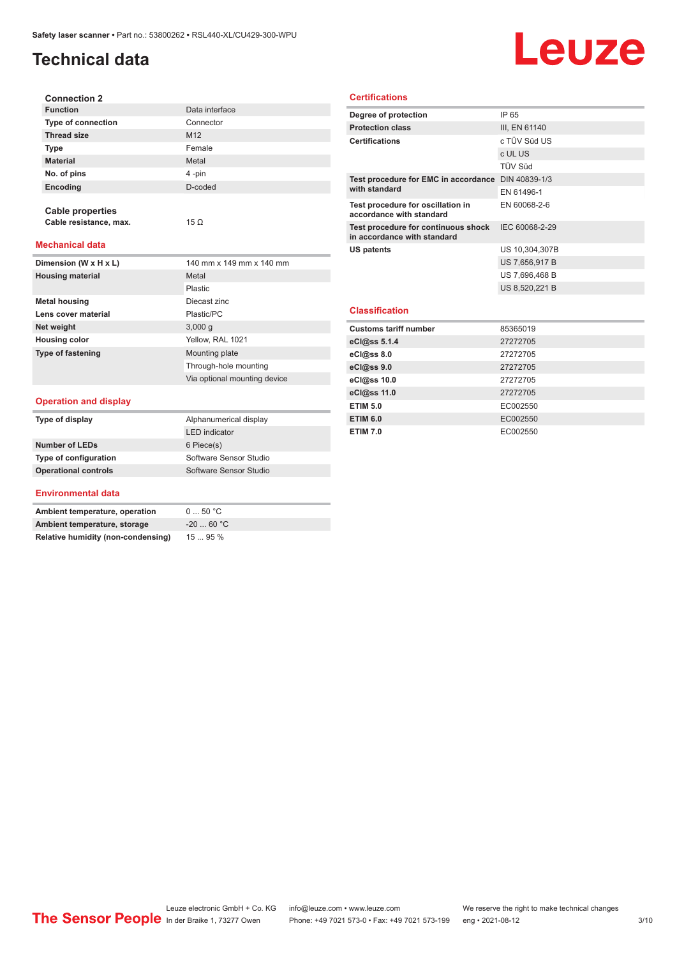### **Technical data**

## Leuze

| <b>Connection 2</b>       |                 |
|---------------------------|-----------------|
| <b>Function</b>           | Data interface  |
| <b>Type of connection</b> | Connector       |
| <b>Thread size</b>        | M <sub>12</sub> |
| <b>Type</b>               | Female          |
| <b>Material</b>           | Metal           |
| No. of pins               | 4-pin           |
| Encoding                  | D-coded         |
|                           |                 |

#### **Mechanical data**

**Cable properties**

**Cable resistance, max.** 15 Ω

| Dimension (W x H x L)    | 140 mm x 149 mm x 140 mm     |
|--------------------------|------------------------------|
| <b>Housing material</b>  | Metal                        |
|                          | Plastic                      |
| <b>Metal housing</b>     | Diecast zinc                 |
| Lens cover material      | Plastic/PC                   |
| Net weight               | 3,000q                       |
| <b>Housing color</b>     | Yellow, RAL 1021             |
| <b>Type of fastening</b> | Mounting plate               |
|                          | Through-hole mounting        |
|                          | Via optional mounting device |

#### **Operation and display**

| Type of display             | Alphanumerical display |
|-----------------------------|------------------------|
|                             | <b>LED</b> indicator   |
| <b>Number of LEDs</b>       | 6 Piece(s)             |
| Type of configuration       | Software Sensor Studio |
| <b>Operational controls</b> | Software Sensor Studio |

#### **Environmental data**

| Ambient temperature, operation     | 050 °C     |
|------------------------------------|------------|
| Ambient temperature, storage       | $-2060 °C$ |
| Relative humidity (non-condensing) | 1595%      |

#### **Certifications**

| Degree of protection                                               | IP 65          |
|--------------------------------------------------------------------|----------------|
| <b>Protection class</b>                                            | III, EN 61140  |
| <b>Certifications</b>                                              | c TÜV Süd US   |
|                                                                    | c UL US        |
|                                                                    | <b>TÜV Süd</b> |
| Test procedure for EMC in accordance DIN 40839-1/3                 |                |
| with standard                                                      | EN 61496-1     |
| Test procedure for oscillation in<br>accordance with standard      | EN 60068-2-6   |
| Test procedure for continuous shock<br>in accordance with standard | IEC 60068-2-29 |
| US patents                                                         | US 10,304,307B |
|                                                                    | US 7,656,917 B |
|                                                                    | US 7,696,468 B |
|                                                                    | US 8,520,221 B |
|                                                                    |                |
| <b>Classification</b>                                              |                |
| <b>Customs tariff number</b>                                       | 85365019       |
| eCl@ss 5.1.4                                                       | 27272705       |
| eCl@ss 8.0                                                         | 27272705       |
| eCl@ss 9.0                                                         | 27272705       |
|                                                                    |                |

| US 7,696,468 B<br>US 8,520,221 B<br><b>Customs tariff number</b><br>85365019<br>eCl@ss 5.1.4<br>27272705<br>27272705<br>27272705<br>27272705<br>27272705<br>EC002550<br>EC002550<br>EC002550 |                       | US 7,000,917 B |
|----------------------------------------------------------------------------------------------------------------------------------------------------------------------------------------------|-----------------------|----------------|
|                                                                                                                                                                                              |                       |                |
|                                                                                                                                                                                              |                       |                |
|                                                                                                                                                                                              | <b>Classification</b> |                |
|                                                                                                                                                                                              |                       |                |
|                                                                                                                                                                                              |                       |                |
|                                                                                                                                                                                              | eCl@ss 8.0            |                |
|                                                                                                                                                                                              | eCl@ss 9.0            |                |
|                                                                                                                                                                                              | eCl@ss 10.0           |                |
|                                                                                                                                                                                              | eCl@ss 11.0           |                |
|                                                                                                                                                                                              | <b>ETIM 5.0</b>       |                |
|                                                                                                                                                                                              | <b>ETIM 6.0</b>       |                |
|                                                                                                                                                                                              | <b>ETIM 7.0</b>       |                |
|                                                                                                                                                                                              |                       |                |
|                                                                                                                                                                                              |                       |                |
|                                                                                                                                                                                              |                       |                |
|                                                                                                                                                                                              |                       |                |
|                                                                                                                                                                                              |                       |                |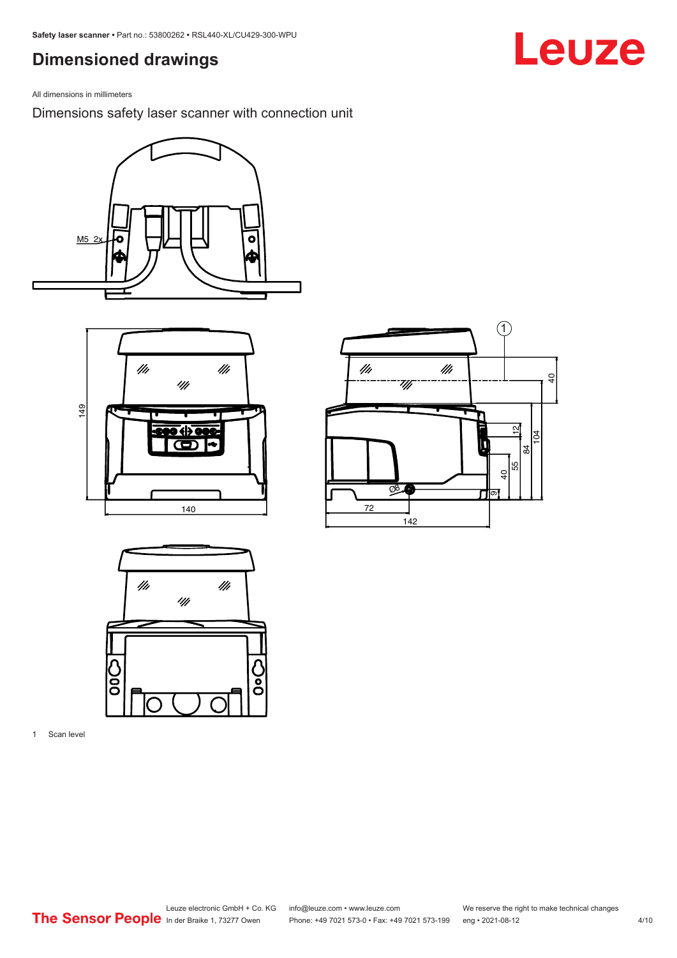### <span id="page-3-0"></span>**Dimensioned drawings**

Leuze

All dimensions in millimeters

Dimensions safety laser scanner with connection unit









1 Scan level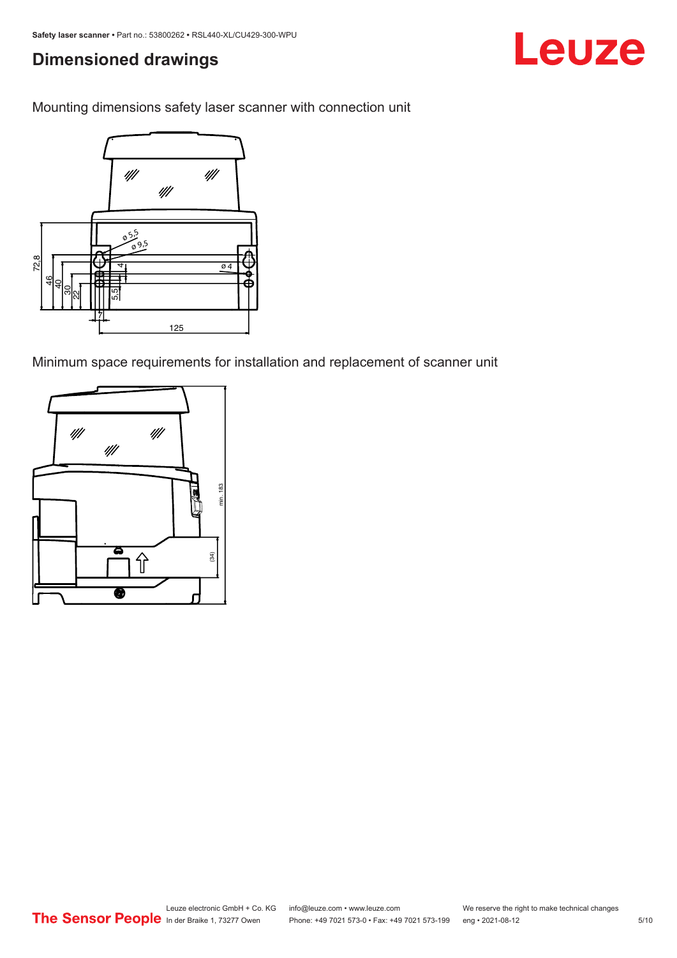### **Dimensioned drawings**





Minimum space requirements for installation and replacement of scanner unit



Leuze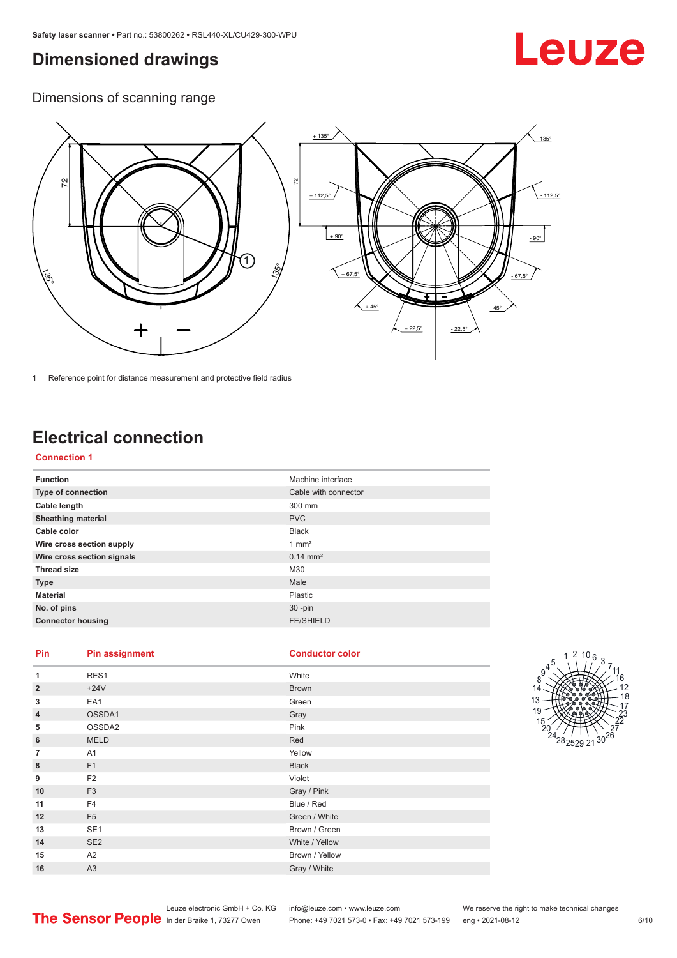### <span id="page-5-0"></span>**Dimensioned drawings**

## Leuze

Dimensions of scanning range



1 Reference point for distance measurement and protective field radius

### **Electrical connection**

#### **Connection 1**

| <b>Function</b>            | Machine interface    |
|----------------------------|----------------------|
| Type of connection         | Cable with connector |
| Cable length               | 300 mm               |
| <b>Sheathing material</b>  | <b>PVC</b>           |
| Cable color                | <b>Black</b>         |
| Wire cross section supply  | $1 \text{ mm}^2$     |
| Wire cross section signals | $0.14 \text{ mm}^2$  |
| <b>Thread size</b>         | M30                  |
| <b>Type</b>                | Male                 |
| <b>Material</b>            | Plastic              |
| No. of pins                | $30 - pin$           |
| <b>Connector housing</b>   | <b>FE/SHIELD</b>     |

#### **Pin Pin assignment Conductor Conductor Color**

| <b>Conductor cold</b> |  |  |
|-----------------------|--|--|
|                       |  |  |
|                       |  |  |

| 1              | RES1            | White          |
|----------------|-----------------|----------------|
| $\overline{2}$ | $+24V$          | <b>Brown</b>   |
| 3              | EA1             | Green          |
| $\overline{4}$ | OSSDA1          | Gray           |
| 5              | OSSDA2          | Pink           |
| 6              | <b>MELD</b>     | Red            |
| $\overline{7}$ | A1              | Yellow         |
| 8              | F1              | <b>Black</b>   |
| 9              | F <sub>2</sub>  | Violet         |
| 10             | F <sub>3</sub>  | Gray / Pink    |
| 11             | F <sub>4</sub>  | Blue / Red     |
| 12             | F <sub>5</sub>  | Green / White  |
| 13             | SE <sub>1</sub> | Brown / Green  |
| 14             | SE <sub>2</sub> | White / Yellow |
| 15             | A <sub>2</sub>  | Brown / Yellow |
| 16             | A <sub>3</sub>  | Gray / White   |

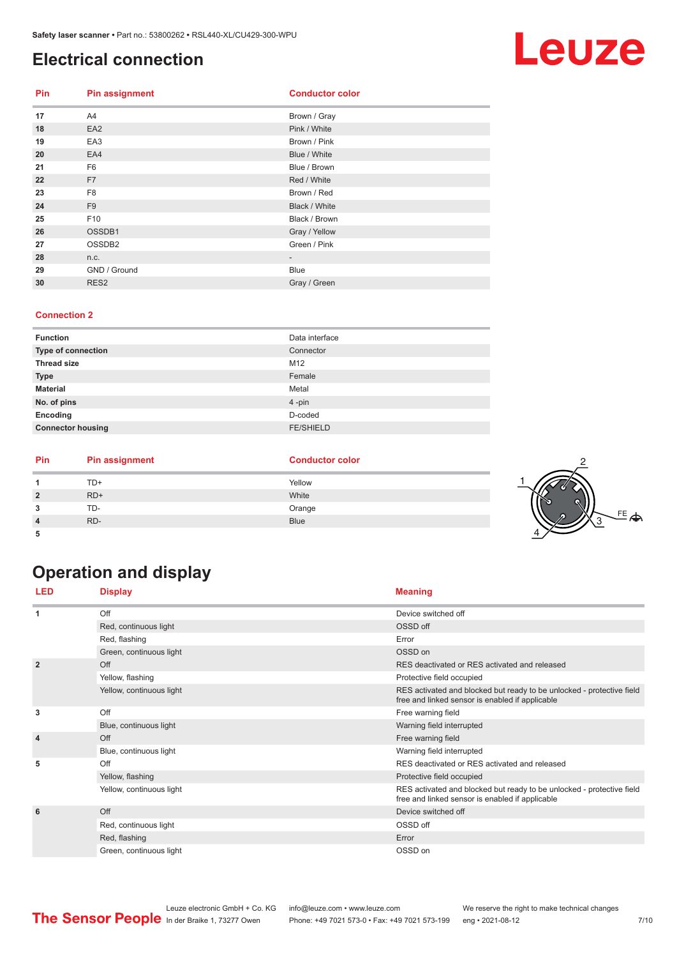### <span id="page-6-0"></span>**Electrical connection**

| <b>Pin</b> | <b>Pin assignment</b> | <b>Conductor color</b>   |
|------------|-----------------------|--------------------------|
| 17         | A4                    | Brown / Gray             |
| 18         | EA <sub>2</sub>       | Pink / White             |
| 19         | EA <sub>3</sub>       | Brown / Pink             |
| 20         | EA4                   | Blue / White             |
| 21         | F <sub>6</sub>        | Blue / Brown             |
| 22         | F <sub>7</sub>        | Red / White              |
| 23         | F <sub>8</sub>        | Brown / Red              |
| 24         | F <sub>9</sub>        | Black / White            |
| 25         | F10                   | Black / Brown            |
| 26         | OSSDB1                | Gray / Yellow            |
| 27         | OSSDB2                | Green / Pink             |
| 28         | n.c.                  | $\overline{\phantom{0}}$ |
| 29         | GND / Ground          | Blue                     |
| 30         | RES <sub>2</sub>      | Gray / Green             |

#### **Connection 2**

| <b>Function</b>           | Data interface   |
|---------------------------|------------------|
| <b>Type of connection</b> | Connector        |
| <b>Thread size</b>        | M12              |
| <b>Type</b>               | Female           |
| <b>Material</b>           | Metal            |
| No. of pins               | 4-pin            |
| Encoding                  | D-coded          |
| <b>Connector housing</b>  | <b>FE/SHIELD</b> |

| Pin | <b>Pin assignment</b> | <b>Conductor color</b> |                      |
|-----|-----------------------|------------------------|----------------------|
|     | TD+                   | Yellow                 |                      |
|     | $RD+$                 | White                  | rs                   |
| ٠J  | TD-                   | Orange                 |                      |
|     | RD-                   | <b>Blue</b>            | $FE \nightharpoonup$ |
|     |                       |                        |                      |

### **Operation and display**

| LED            | <b>Display</b>           | <b>Meaning</b>                                                                                                           |
|----------------|--------------------------|--------------------------------------------------------------------------------------------------------------------------|
| 1              | Off                      | Device switched off                                                                                                      |
|                | Red, continuous light    | OSSD off                                                                                                                 |
|                | Red, flashing            | Error                                                                                                                    |
|                | Green, continuous light  | OSSD on                                                                                                                  |
| $\overline{2}$ | Off                      | RES deactivated or RES activated and released                                                                            |
|                | Yellow, flashing         | Protective field occupied                                                                                                |
|                | Yellow, continuous light | RES activated and blocked but ready to be unlocked - protective field<br>free and linked sensor is enabled if applicable |
| 3              | Off                      | Free warning field                                                                                                       |
|                | Blue, continuous light   | Warning field interrupted                                                                                                |
| $\overline{4}$ | Off                      | Free warning field                                                                                                       |
|                | Blue, continuous light   | Warning field interrupted                                                                                                |
| 5              | Off                      | RES deactivated or RES activated and released                                                                            |
|                | Yellow, flashing         | Protective field occupied                                                                                                |
|                | Yellow, continuous light | RES activated and blocked but ready to be unlocked - protective field<br>free and linked sensor is enabled if applicable |
| 6              | Off                      | Device switched off                                                                                                      |
|                | Red, continuous light    | OSSD off                                                                                                                 |
|                | Red, flashing            | Error                                                                                                                    |
|                | Green, continuous light  | OSSD on                                                                                                                  |

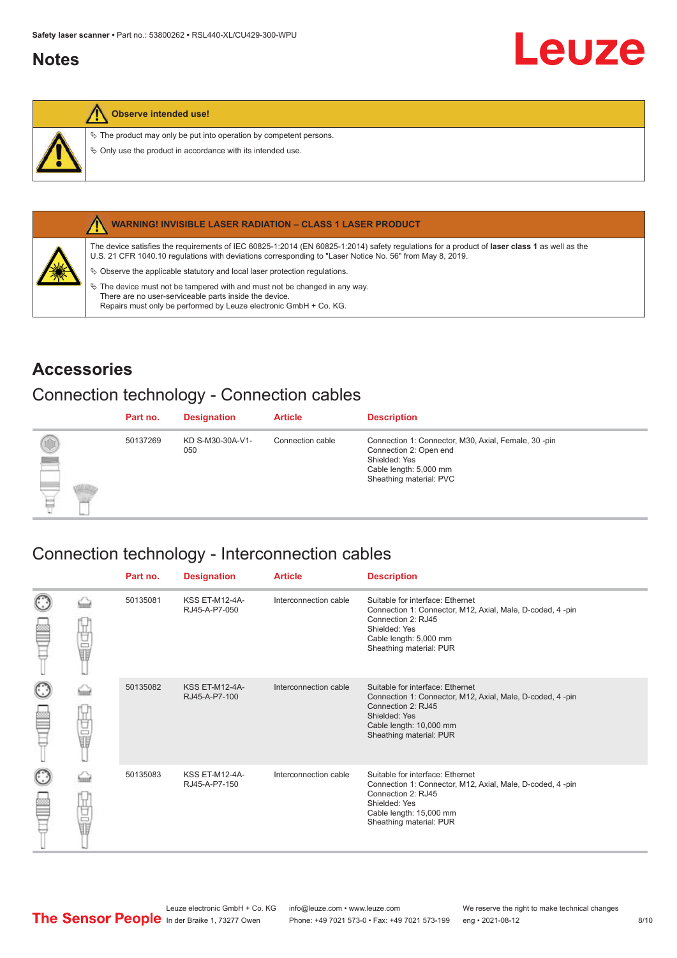### <span id="page-7-0"></span>**Notes**



#### **Observe intended use!**

 $\&$  The product may only be put into operation by competent persons.

 $\%$  Only use the product in accordance with its intended use.



#### **WARNING! INVISIBLE LASER RADIATION – CLASS 1 LASER PRODUCT**

The device satisfies the requirements of IEC 60825-1:2014 (EN 60825-1:2014) safety regulations for a product of **laser class 1** as well as the U.S. 21 CFR 1040.10 regulations with deviations corresponding to "Laser Notice No. 56" from May 8, 2019.

 $\&$  Observe the applicable statutory and local laser protection regulations.

 $\%$  The device must not be tampered with and must not be changed in any way. There are no user-serviceable parts inside the device. Repairs must only be performed by Leuze electronic GmbH + Co. KG.

### **Accessories**

### Connection technology - Connection cables

|                                     | Part no. | <b>Designation</b>      | <b>Article</b>   | <b>Description</b>                                                                                                                                   |
|-------------------------------------|----------|-------------------------|------------------|------------------------------------------------------------------------------------------------------------------------------------------------------|
| 0<br>$\frac{1}{2}$<br><u>garang</u> | 50137269 | KD S-M30-30A-V1-<br>050 | Connection cable | Connection 1: Connector, M30, Axial, Female, 30 -pin<br>Connection 2: Open end<br>Shielded: Yes<br>Cable length: 5,000 mm<br>Sheathing material: PVC |

#### Connection technology - Interconnection cables

|   |    | Part no. | <b>Designation</b>                     | <b>Article</b>        | <b>Description</b>                                                                                                                                                                         |
|---|----|----------|----------------------------------------|-----------------------|--------------------------------------------------------------------------------------------------------------------------------------------------------------------------------------------|
|   | 世軍 | 50135081 | <b>KSS ET-M12-4A-</b><br>RJ45-A-P7-050 | Interconnection cable | Suitable for interface: Ethernet<br>Connection 1: Connector, M12, Axial, Male, D-coded, 4-pin<br>Connection 2: RJ45<br>Shielded: Yes<br>Cable length: 5,000 mm<br>Sheathing material: PUR  |
| C | 电晶 | 50135082 | <b>KSS ET-M12-4A-</b><br>RJ45-A-P7-100 | Interconnection cable | Suitable for interface: Ethernet<br>Connection 1: Connector, M12, Axial, Male, D-coded, 4-pin<br>Connection 2: RJ45<br>Shielded: Yes<br>Cable length: 10,000 mm<br>Sheathing material: PUR |
|   | 电晶 | 50135083 | <b>KSS ET-M12-4A-</b><br>RJ45-A-P7-150 | Interconnection cable | Suitable for interface: Ethernet<br>Connection 1: Connector, M12, Axial, Male, D-coded, 4-pin<br>Connection 2: RJ45<br>Shielded: Yes<br>Cable length: 15,000 mm<br>Sheathing material: PUR |

Leuze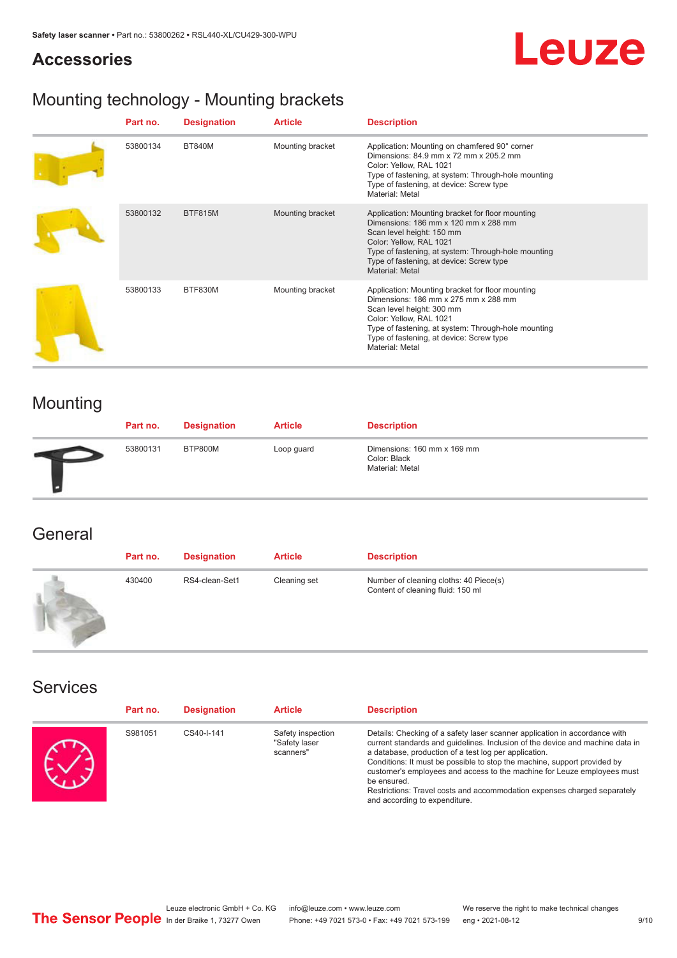### **Accessories**



### Mounting technology - Mounting brackets

| Part no. | <b>Designation</b> | <b>Article</b>   | <b>Description</b>                                                                                                                                                                                                                                                     |
|----------|--------------------|------------------|------------------------------------------------------------------------------------------------------------------------------------------------------------------------------------------------------------------------------------------------------------------------|
| 53800134 | <b>BT840M</b>      | Mounting bracket | Application: Mounting on chamfered 90° corner<br>Dimensions: 84.9 mm x 72 mm x 205.2 mm<br>Color: Yellow, RAL 1021<br>Type of fastening, at system: Through-hole mounting<br>Type of fastening, at device: Screw type<br>Material: Metal                               |
| 53800132 | BTF815M            | Mounting bracket | Application: Mounting bracket for floor mounting<br>Dimensions: 186 mm x 120 mm x 288 mm<br>Scan level height: 150 mm<br>Color: Yellow, RAL 1021<br>Type of fastening, at system: Through-hole mounting<br>Type of fastening, at device: Screw type<br>Material: Metal |
| 53800133 | BTF830M            | Mounting bracket | Application: Mounting bracket for floor mounting<br>Dimensions: 186 mm x 275 mm x 288 mm<br>Scan level height: 300 mm<br>Color: Yellow, RAL 1021<br>Type of fastening, at system: Through-hole mounting<br>Type of fastening, at device: Screw type<br>Material: Metal |

### Mounting

| Part no. | <b>Designation</b> | <b>Article</b> | <b>Description</b>                                             |
|----------|--------------------|----------------|----------------------------------------------------------------|
| 53800131 | BTP800M            | Loop guard     | Dimensions: 160 mm x 169 mm<br>Color: Black<br>Material: Metal |

### **General**

| Part no. | <b>Designation</b> | <b>Article</b> | <b>Description</b>                                                          |
|----------|--------------------|----------------|-----------------------------------------------------------------------------|
| 430400   | RS4-clean-Set1     | Cleaning set   | Number of cleaning cloths: 40 Piece(s)<br>Content of cleaning fluid: 150 ml |

#### Services

| Part no. | <b>Designation</b> | <b>Article</b>                                  | <b>Description</b>                                                                                                                                                                                                                                                                                                                                                                                                                                                                                      |
|----------|--------------------|-------------------------------------------------|---------------------------------------------------------------------------------------------------------------------------------------------------------------------------------------------------------------------------------------------------------------------------------------------------------------------------------------------------------------------------------------------------------------------------------------------------------------------------------------------------------|
| S981051  | CS40-I-141         | Safety inspection<br>"Safety laser<br>scanners" | Details: Checking of a safety laser scanner application in accordance with<br>current standards and quidelines. Inclusion of the device and machine data in<br>a database, production of a test log per application.<br>Conditions: It must be possible to stop the machine, support provided by<br>customer's employees and access to the machine for Leuze employees must<br>be ensured.<br>Restrictions: Travel costs and accommodation expenses charged separately<br>and according to expenditure. |